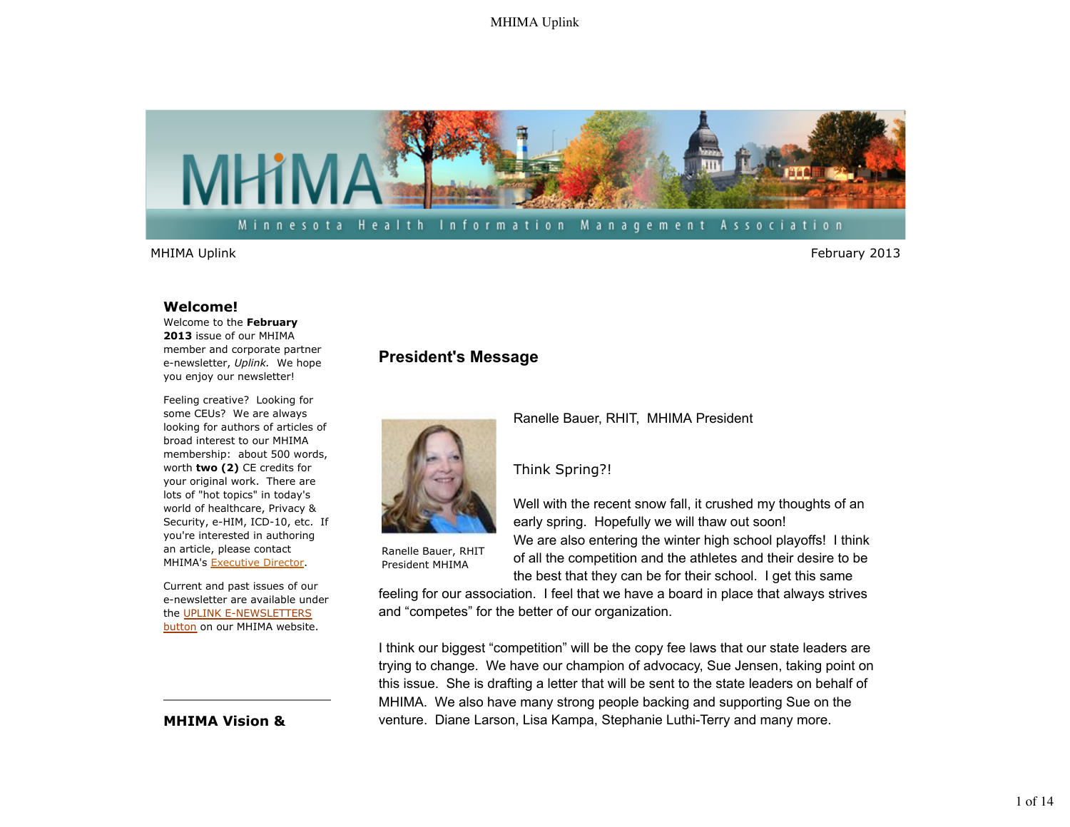

MHIMA Uplink February 2013

#### **Welcome!**

Welcome to the **February 2013** issue of our MHIMA member and corporate partner e-newsletter, *Uplink.* We hope you enjoy our newsletter!

Feeling creative? Looking for some CEUs? We are always looking for authors of articles of broad interest to our MHIMA membership: about 500 words, worth **two (2)** CE credits for your original work. There are lots of "hot topics" in today's world of healthcare, Privacy & Security, e-HIM, ICD-10, etc. If you're interested in authoring an article, please contact MHIMA's Executive Director.

Current and past issues of our e-newsletter are available under the UPLINK E-NEWSLETTERS button on our MHIMA website.

### **MHIMA Vision &**

## **President's Message**



Ranelle Bauer, RHIT President MHIMA

Ranelle Bauer, RHIT, MHIMA President

Think Spring?!

Well with the recent snow fall, it crushed my thoughts of an early spring. Hopefully we will thaw out soon! We are also entering the winter high school playoffs! I think of all the competition and the athletes and their desire to be the best that they can be for their school. I get this same

feeling for our association. I feel that we have a board in place that always strives and "competes" for the better of our organization.

I think our biggest "competition" will be the copy fee laws that our state leaders are trying to change. We have our champion of advocacy, Sue Jensen, taking point on this issue. She is drafting a letter that will be sent to the state leaders on behalf of MHIMA. We also have many strong people backing and supporting Sue on the venture. Diane Larson, Lisa Kampa, Stephanie Luthi-Terry and many more.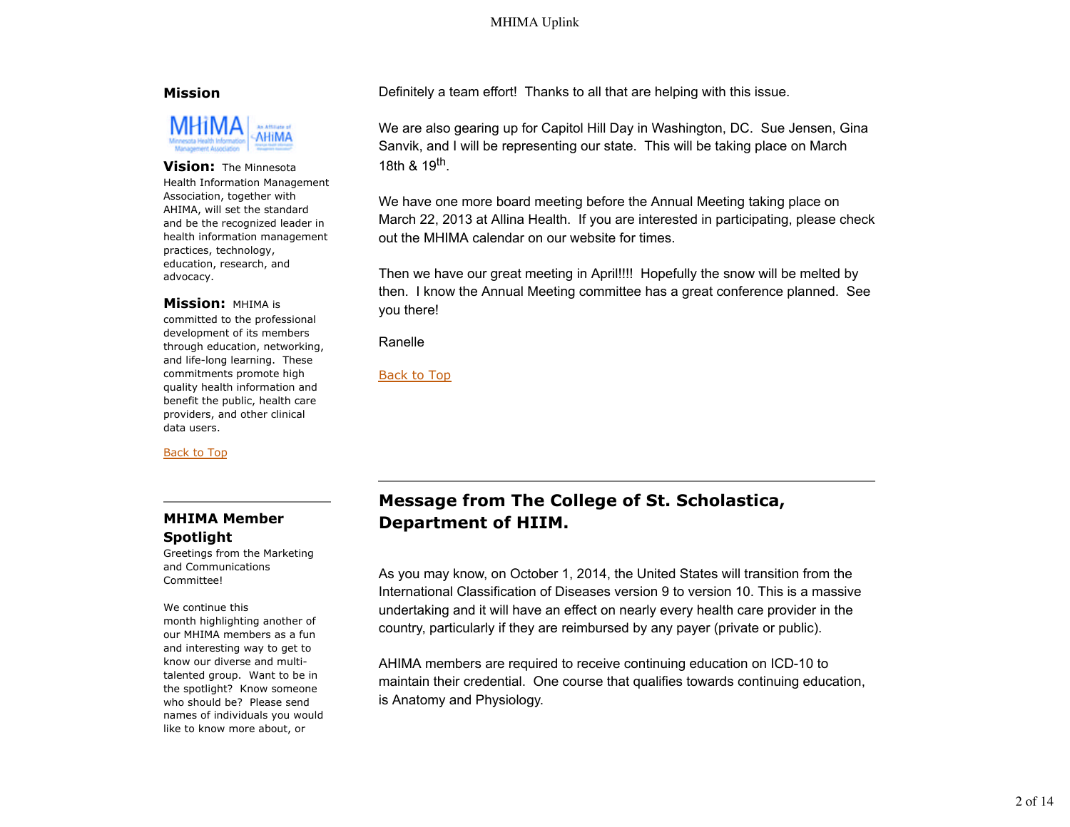### **Mission**



# **Vision:** The Minnesota

Health Information Management Association, together with AHIMA, will set the standard and be the recognized leader in health information management practices, technology, education, research, and advocacy.

#### **Mission:** MHIMA is

committed to the professional development of its members through education, networking, and life-long learning. These commitments promote high quality health information and benefit the public, health care providers, and other clinical data users.

Back to Top

## **MHIMA Member Spotlight**

Greetings from the Marketing and Communications Committee!

# We continue this

month highlighting another of our MHIMA members as a fun and interesting way to get to know our diverse and multitalented group. Want to be in the spotlight? Know someone who should be? Please send names of individuals you would like to know more about, or

Definitely a team effort! Thanks to all that are helping with this issue.

We are also gearing up for Capitol Hill Day in Washington, DC. Sue Jensen, Gina Sanvik, and I will be representing our state. This will be taking place on March 18th & 19<sup>th</sup>

We have one more board meeting before the Annual Meeting taking place on March 22, 2013 at Allina Health. If you are interested in participating, please check out the MHIMA calendar on our website for times.

Then we have our great meeting in April!!!! Hopefully the snow will be melted by then. I know the Annual Meeting committee has a great conference planned. See you there!

Ranelle

Back to Top

# **Message from The College of St. Scholastica, Department of HIIM.**

As you may know, on October 1, 2014, the United States will transition from the International Classification of Diseases version 9 to version 10. This is a massive undertaking and it will have an effect on nearly every health care provider in the country, particularly if they are reimbursed by any payer (private or public).

AHIMA members are required to receive continuing education on ICD-10 to maintain their credential. One course that qualifies towards continuing education, is Anatomy and Physiology.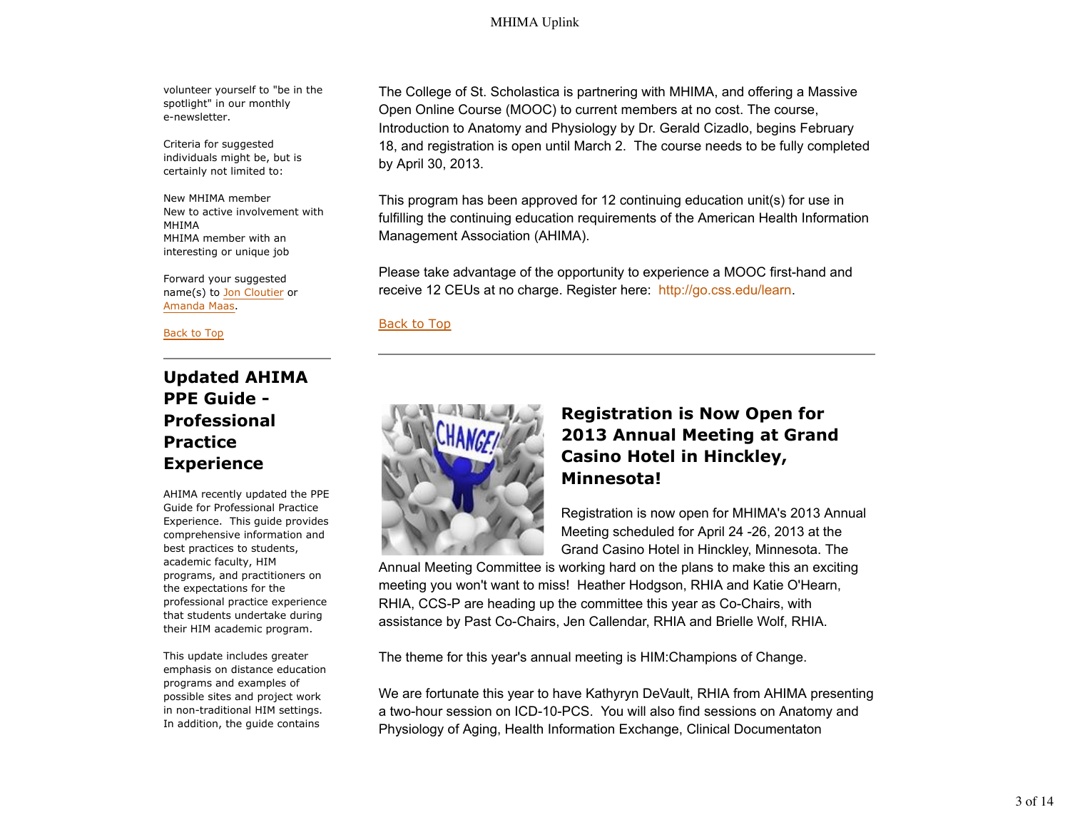volunteer yourself to "be in the spotlight" in our monthly e-newsletter.

Criteria for suggested individuals might be, but is certainly not limited to:

New MHIMA member New to active involvement with MHIMA MHIMA member with an interesting or unique job

Forward your suggested name(s) to Jon Cloutier or Amanda Maas.

Back to Top

# **Updated AHIMA PPE Guide - Professional Practice Experience**

AHIMA recently updated the PPE Guide for Professional Practice Experience. This guide provides comprehensive information and best practices to students, academic faculty, HIM programs, and practitioners on the expectations for the professional practice experience that students undertake during their HIM academic program.

This update includes greater emphasis on distance education programs and examples of possible sites and project work in non-traditional HIM settings. In addition, the guide contains

The College of St. Scholastica is partnering with MHIMA, and offering a Massive Open Online Course (MOOC) to current members at no cost. The course, Introduction to Anatomy and Physiology by Dr. Gerald Cizadlo, begins February 18, and registration is open until March 2. The course needs to be fully completed by April 30, 2013.

This program has been approved for 12 continuing education unit(s) for use in fulfilling the continuing education requirements of the American Health Information Management Association (AHIMA).

Please take advantage of the opportunity to experience a MOOC first-hand and receive 12 CEUs at no charge. Register here: http://go.css.edu/learn.

#### Back to Top



# **Registration is Now Open for 2013 Annual Meeting at Grand Casino Hotel in Hinckley, Minnesota!**

Registration is now open for MHIMA's 2013 Annual Meeting scheduled for April 24 -26, 2013 at the Grand Casino Hotel in Hinckley, Minnesota. The

Annual Meeting Committee is working hard on the plans to make this an exciting meeting you won't want to miss! Heather Hodgson, RHIA and Katie O'Hearn, RHIA, CCS-P are heading up the committee this year as Co-Chairs, with assistance by Past Co-Chairs, Jen Callendar, RHIA and Brielle Wolf, RHIA.

The theme for this year's annual meeting is HIM:Champions of Change.

We are fortunate this year to have Kathyryn DeVault, RHIA from AHIMA presenting a two-hour session on ICD-10-PCS. You will also find sessions on Anatomy and Physiology of Aging, Health Information Exchange, Clinical Documentaton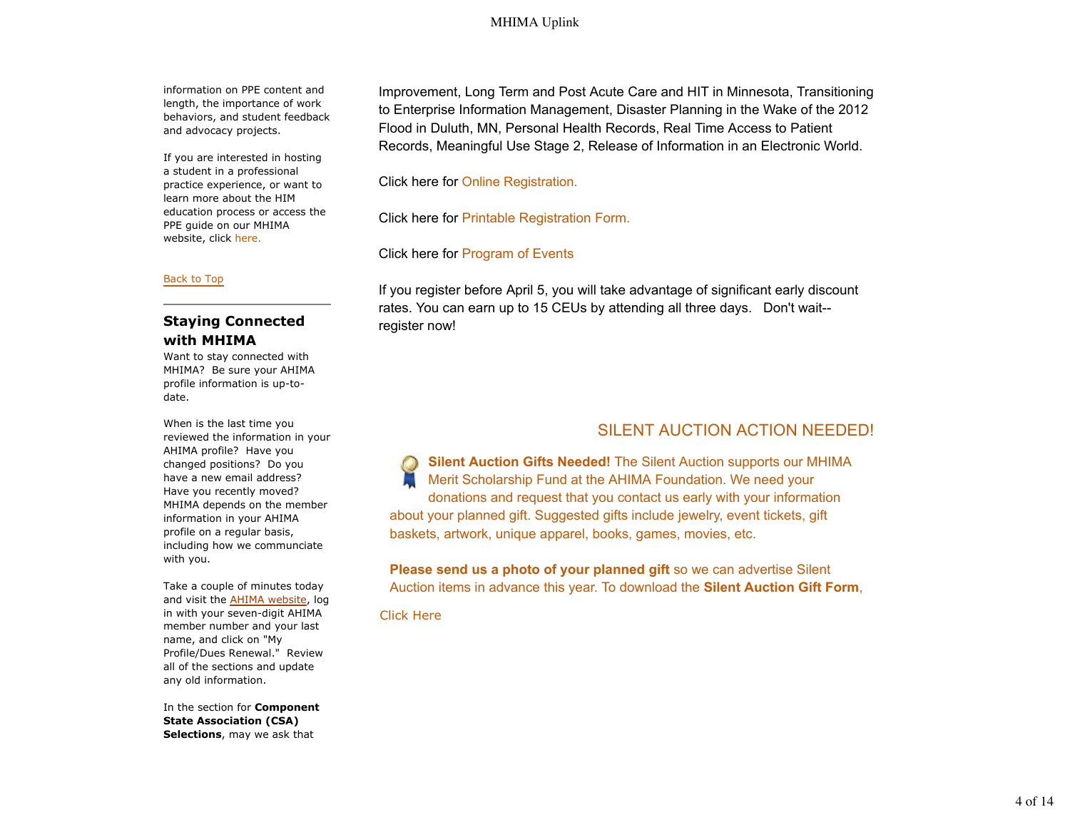information on PPE content and length, the importance of work behaviors, and student feedback and advocacy projects.

If you are interested in hosting a student in a professional practice experience, or want to learn more about the HIM education process or access the PPE guide on our MHIMA website, click here.

#### Back to Top

### **Staying Connected with MHIMA**

Want to stay connected with MHIMA? Be sure your AHIMA profile information is up-todate.

When is the last time you reviewed the information in your AHIMA profile? Have you changed positions? Do you have a new email address? Have you recently moved? MHIMA depends on the member information in your AHIMA profile on a regular basis, including how we communciate with you.

Take a couple of minutes today and visit the AHIMA website, log in with your seven-digit AHIMA member number and your last name, and click on "My Profile/Dues Renewal." Review all of the sections and update any old information.

In the section for **Component State Association (CSA) Selections**, may we ask that

Improvement, Long Term and Post Acute Care and HIT in Minnesota, Transitioning to Enterprise Information Management, Disaster Planning in the Wake of the 2012 Flood in Duluth, MN, Personal Health Records, Real Time Access to Patient Records, Meaningful Use Stage 2, Release of Information in an Electronic World.

### Click here for Online Registration.

Click here for Printable Registration Form.

### Click here for Program of Events

If you register before April 5, you will take advantage of significant early discount rates. You can earn up to 15 CEUs by attending all three days. Don't wait- register now!

# SILENT AUCTION ACTION NEEDED!

**Silent Auction Gifts Needed!** The Silent Auction supports our MHIMA Merit Scholarship Fund at the AHIMA Foundation. We need your donations and request that you contact us early with your information about your planned gift. Suggested gifts include jewelry, event tickets, gift baskets, artwork, unique apparel, books, games, movies, etc.

**Please send us a photo of your planned gift** so we can advertise Silent Auction items in advance this year. To download the **Silent Auction Gift Form**,

Click Here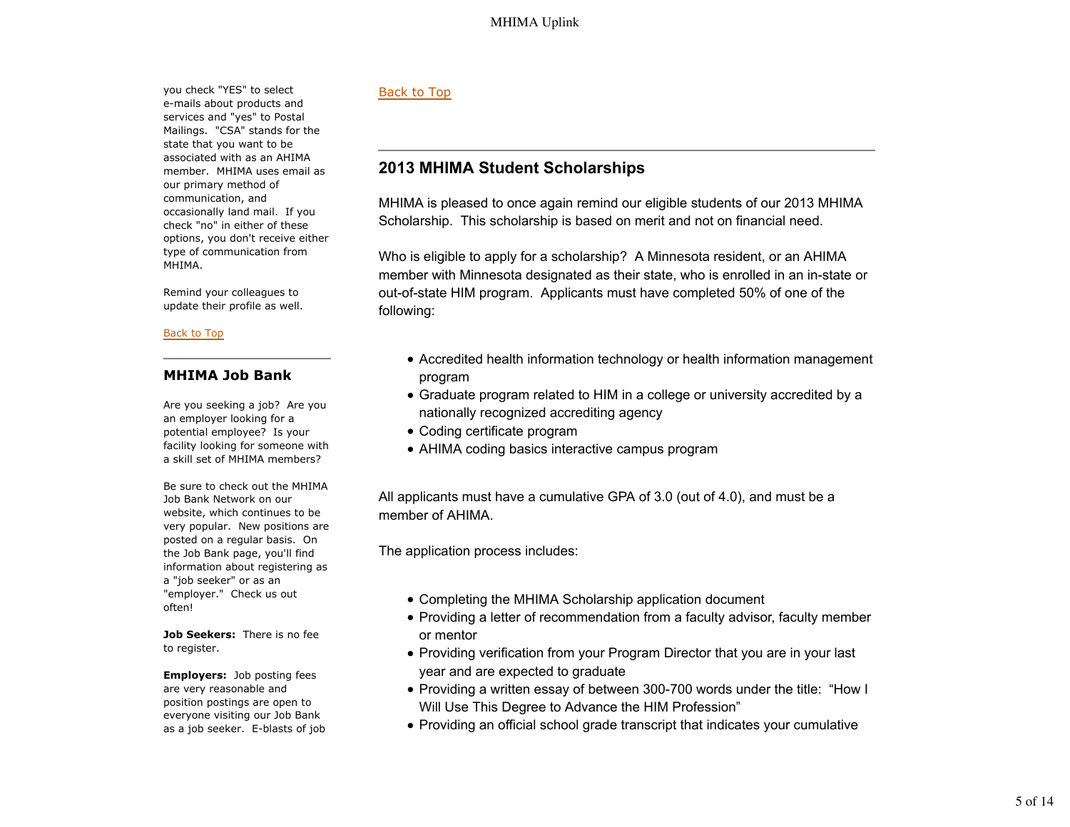you check "YES" to select e-mails about products and services and "yes" to Postal Mailings. "CSA" stands for the state that you want to be associated with as an AHIMA member. MHIMA uses email as our primary method of communication, and occasionally land mail. If you check "no" in either of these options, you don't receive either type of communication from MHIMA.

Remind your colleagues to update their profile as well.

Back to Top

### **MHIMA Job Bank**

Are you seeking a job? Are you an employer looking for a potential employee? Is your facility looking for someone with a skill set of MHIMA members?

Be sure to check out the MHIMA Job Bank Network on our website, which continues to be very popular. New positions are posted on a regular basis. On the Job Bank page, you'll find information about registering as a "job seeker" or as an "employer." Check us out often!

**Job Seekers:** There is no fee to register.

**Employers:** Job posting fees are very reasonable and position postings are open to everyone visiting our Job Bank as a job seeker. E-blasts of job

### Back to Top

# **2013 MHIMA Student Scholarships**

MHIMA is pleased to once again remind our eligible students of our 2013 MHIMA Scholarship. This scholarship is based on merit and not on financial need.

Who is eligible to apply for a scholarship? A Minnesota resident, or an AHIMA member with Minnesota designated as their state, who is enrolled in an in-state or out-of-state HIM program. Applicants must have completed 50% of one of the following:

- Accredited health information technology or health information management program
- Graduate program related to HIM in a college or university accredited by a nationally recognized accrediting agency
- Coding certificate program
- AHIMA coding basics interactive campus program

All applicants must have a cumulative GPA of 3.0 (out of 4.0), and must be a member of AHIMA

The application process includes:

- Completing the MHIMA Scholarship application document
- Providing a letter of recommendation from a faculty advisor, faculty member or mentor
- Providing verification from your Program Director that you are in your last year and are expected to graduate
- Providing a written essay of between 300-700 words under the title: "How I Will Use This Degree to Advance the HIM Profession"
- Providing an official school grade transcript that indicates your cumulative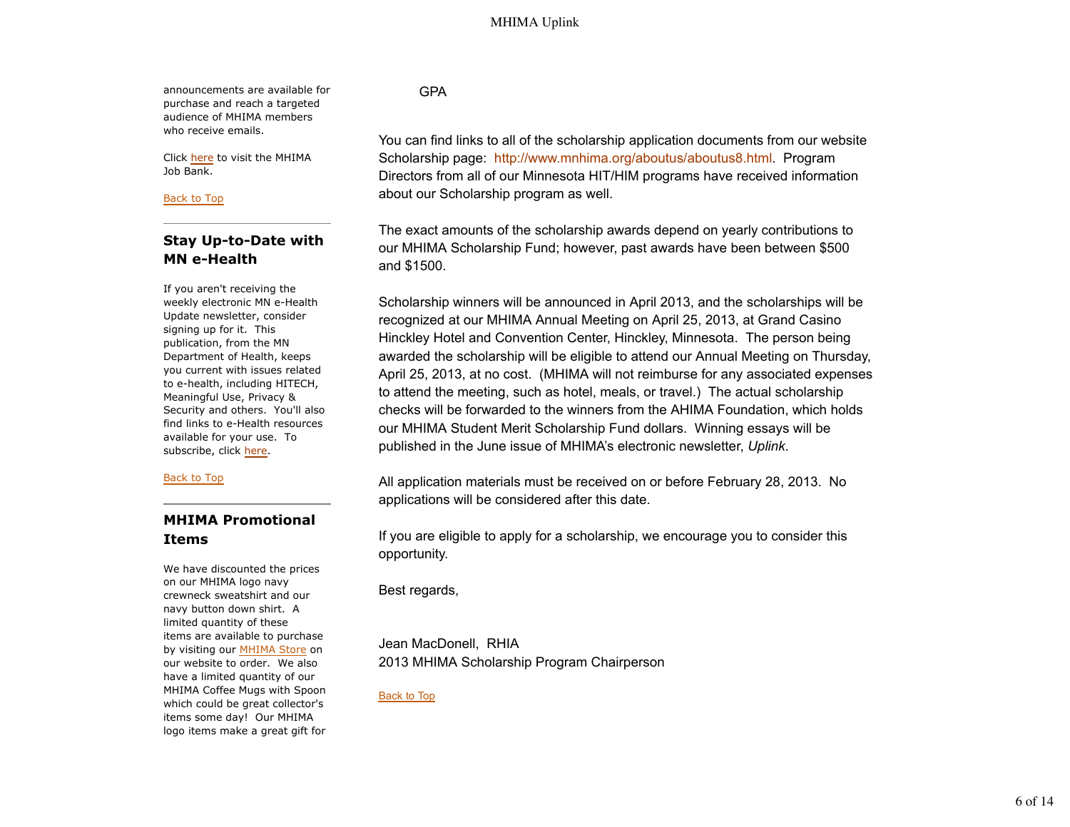announcements are available for purchase and reach a targeted audience of MHIMA members who receive emails.

Click here to visit the MHIMA Job Bank.

Back to Top

## **Stay Up-to-Date with MN e-Health**

If you aren't receiving the weekly electronic MN e-Health Update newsletter, consider signing up for it. This publication, from the MN Department of Health, keeps you current with issues related to e-health, including HITECH, Meaningful Use, Privacy & Security and others. You'll also find links to e-Health resources available for your use. To subscribe, click here.

#### Back to Top

### **MHIMA Promotional Items**

We have discounted the prices on our MHIMA logo navy crewneck sweatshirt and our navy button down shirt. A limited quantity of these items are available to purchase by visiting our MHIMA Store on our website to order. We also have a limited quantity of our MHIMA Coffee Mugs with Spoon which could be great collector's items some day! Our MHIMA logo items make a great gift for GPA

You can find links to all of the scholarship application documents from our website Scholarship page: http://www.mnhima.org/aboutus/aboutus8.html. Program Directors from all of our Minnesota HIT/HIM programs have received information about our Scholarship program as well.

The exact amounts of the scholarship awards depend on yearly contributions to our MHIMA Scholarship Fund; however, past awards have been between \$500 and \$1500.

Scholarship winners will be announced in April 2013, and the scholarships will be recognized at our MHIMA Annual Meeting on April 25, 2013, at Grand Casino Hinckley Hotel and Convention Center, Hinckley, Minnesota. The person being awarded the scholarship will be eligible to attend our Annual Meeting on Thursday, April 25, 2013, at no cost. (MHIMA will not reimburse for any associated expenses to attend the meeting, such as hotel, meals, or travel.) The actual scholarship checks will be forwarded to the winners from the AHIMA Foundation, which holds our MHIMA Student Merit Scholarship Fund dollars. Winning essays will be published in the June issue of MHIMA's electronic newsletter, *Uplink*.

All application materials must be received on or before February 28, 2013. No applications will be considered after this date.

If you are eligible to apply for a scholarship, we encourage you to consider this opportunity.

Best regards,

Jean MacDonell, RHIA 2013 MHIMA Scholarship Program Chairperson

Back to Top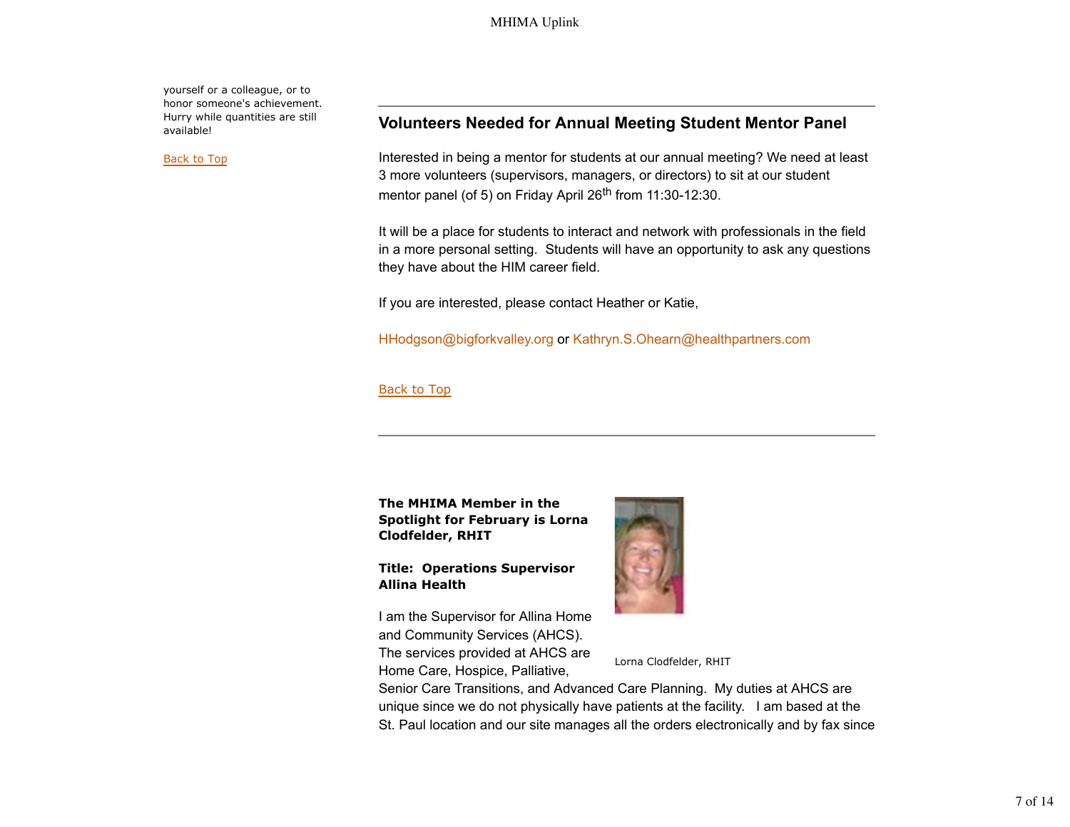yourself or a colleague, or to honor someone's achievement. Hurry while quantities are still available!

Back to Top

# **Volunteers Needed for Annual Meeting Student Mentor Panel**

Interested in being a mentor for students at our annual meeting? We need at least 3 more volunteers (supervisors, managers, or directors) to sit at our student mentor panel (of 5) on Friday April 26<sup>th</sup> from 11:30-12:30.

It will be a place for students to interact and network with professionals in the field in a more personal setting. Students will have an opportunity to ask any questions they have about the HIM career field.

If you are interested, please contact Heather or Katie,

HHodgson@bigforkvalley.org or Kathryn.S.Ohearn@healthpartners.com

### Back to Top

**The MHIMA Member in the Spotlight for February is Lorna Clodfelder, RHIT** 

**Title: Operations Supervisor Allina Health**

I am the Supervisor for Allina Home and Community Services (AHCS). The services provided at AHCS are Home Care, Hospice, Palliative,



Lorna Clodfelder, RHIT

Senior Care Transitions, and Advanced Care Planning. My duties at AHCS are unique since we do not physically have patients at the facility. I am based at the St. Paul location and our site manages all the orders electronically and by fax since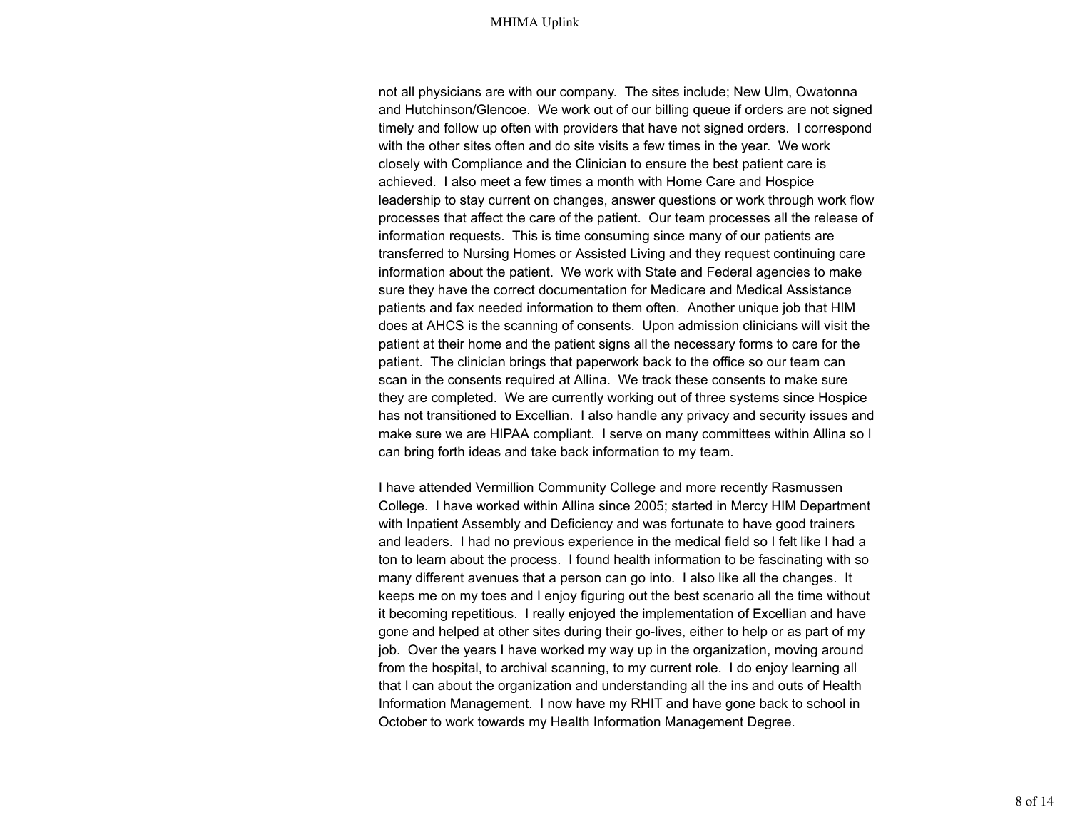not all physicians are with our company. The sites include; New Ulm, Owatonna and Hutchinson/Glencoe. We work out of our billing queue if orders are not signed timely and follow up often with providers that have not signed orders. I correspond with the other sites often and do site visits a few times in the year. We work closely with Compliance and the Clinician to ensure the best patient care is achieved. I also meet a few times a month with Home Care and Hospice leadership to stay current on changes, answer questions or work through work flow processes that affect the care of the patient. Our team processes all the release of information requests. This is time consuming since many of our patients are transferred to Nursing Homes or Assisted Living and they request continuing care information about the patient. We work with State and Federal agencies to make sure they have the correct documentation for Medicare and Medical Assistance patients and fax needed information to them often. Another unique job that HIM does at AHCS is the scanning of consents. Upon admission clinicians will visit the patient at their home and the patient signs all the necessary forms to care for the patient. The clinician brings that paperwork back to the office so our team can scan in the consents required at Allina. We track these consents to make sure they are completed. We are currently working out of three systems since Hospice has not transitioned to Excellian. I also handle any privacy and security issues and make sure we are HIPAA compliant. I serve on many committees within Allina so I can bring forth ideas and take back information to my team.

I have attended Vermillion Community College and more recently Rasmussen College. I have worked within Allina since 2005; started in Mercy HIM Department with Inpatient Assembly and Deficiency and was fortunate to have good trainers and leaders. I had no previous experience in the medical field so I felt like I had a ton to learn about the process. I found health information to be fascinating with so many different avenues that a person can go into. I also like all the changes. It keeps me on my toes and I enjoy figuring out the best scenario all the time without it becoming repetitious. I really enjoyed the implementation of Excellian and have gone and helped at other sites during their go-lives, either to help or as part of my job. Over the years I have worked my way up in the organization, moving around from the hospital, to archival scanning, to my current role. I do enjoy learning all that I can about the organization and understanding all the ins and outs of Health Information Management. I now have my RHIT and have gone back to school in October to work towards my Health Information Management Degree.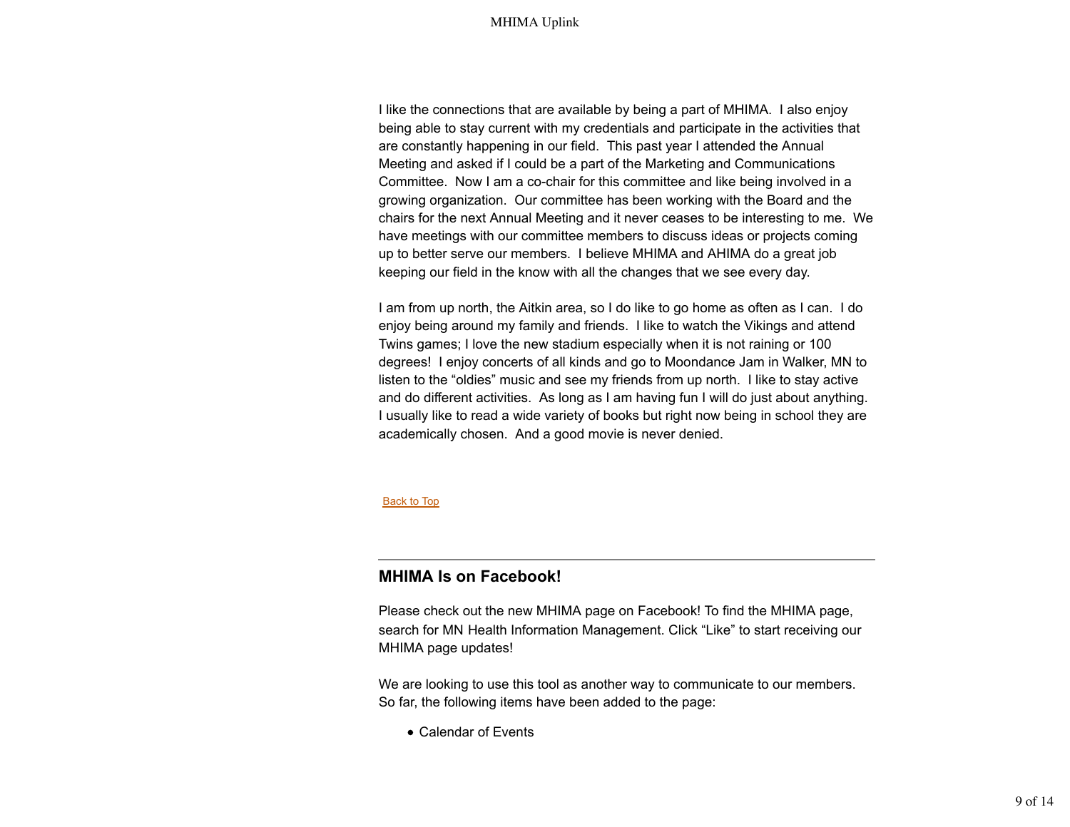I like the connections that are available by being a part of MHIMA. I also enjoy being able to stay current with my credentials and participate in the activities that are constantly happening in our field. This past year I attended the Annual Meeting and asked if I could be a part of the Marketing and Communications Committee. Now I am a co-chair for this committee and like being involved in a growing organization. Our committee has been working with the Board and the chairs for the next Annual Meeting and it never ceases to be interesting to me. We have meetings with our committee members to discuss ideas or projects coming up to better serve our members. I believe MHIMA and AHIMA do a great job keeping our field in the know with all the changes that we see every day.

I am from up north, the Aitkin area, so I do like to go home as often as I can. I do enjoy being around my family and friends. I like to watch the Vikings and attend Twins games; I love the new stadium especially when it is not raining or 100 degrees! I enjoy concerts of all kinds and go to Moondance Jam in Walker, MN to listen to the "oldies" music and see my friends from up north. I like to stay active and do different activities. As long as I am having fun I will do just about anything. I usually like to read a wide variety of books but right now being in school they are academically chosen. And a good movie is never denied.

#### **Back to Top**

### **MHIMA Is on Facebook!**

Please check out the new MHIMA page on Facebook! To find the MHIMA page, search for MN Health Information Management. Click "Like" to start receiving our MHIMA page updates!

We are looking to use this tool as another way to communicate to our members. So far, the following items have been added to the page:

Calendar of Events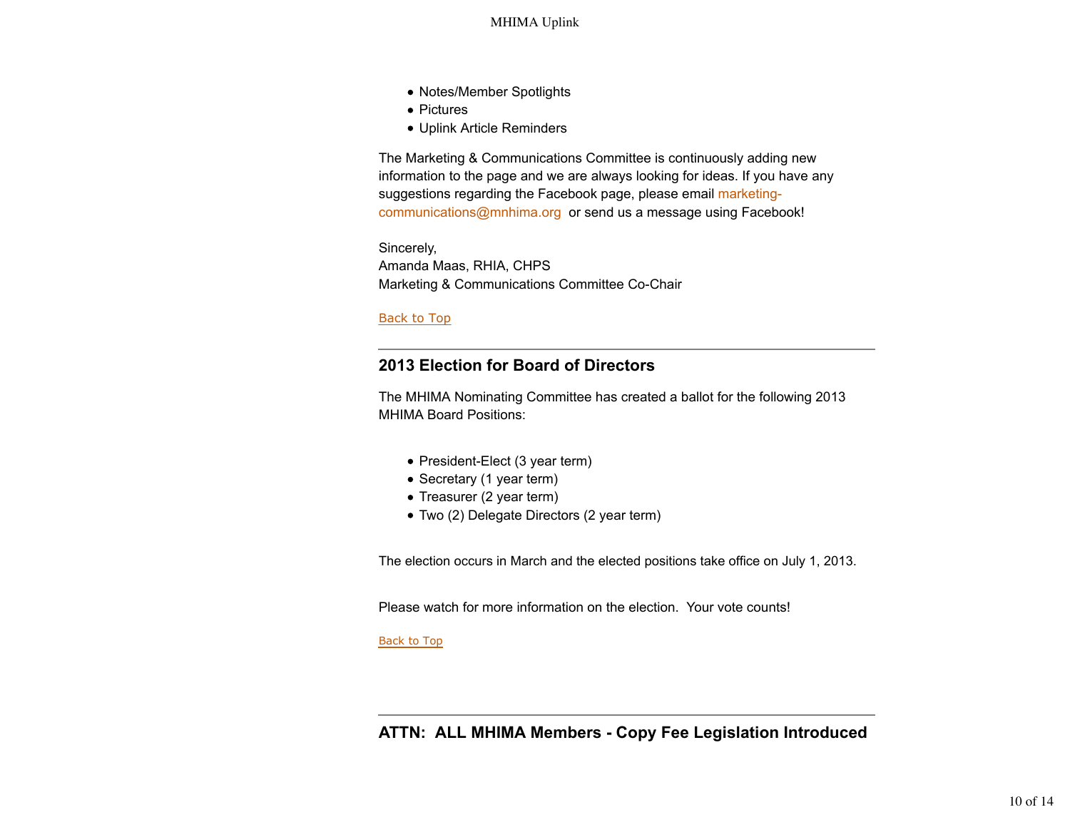- Notes/Member Spotlights
- Pictures
- Uplink Article Reminders

The Marketing & Communications Committee is continuously adding new information to the page and we are always looking for ideas. If you have any suggestions regarding the Facebook page, please email marketingcommunications@mnhima.org or send us a message using Facebook!

Sincerely, Amanda Maas, RHIA, CHPS Marketing & Communications Committee Co-Chair

#### Back to Top

# **2013 Election for Board of Directors**

The MHIMA Nominating Committee has created a ballot for the following 2013 MHIMA Board Positions:

- President-Elect (3 year term)
- Secretary (1 year term)
- Treasurer (2 year term)
- Two (2) Delegate Directors (2 year term)

The election occurs in March and the elected positions take office on July 1, 2013.

Please watch for more information on the election. Your vote counts!

#### Back to Top

**ATTN: ALL MHIMA Members - Copy Fee Legislation Introduced**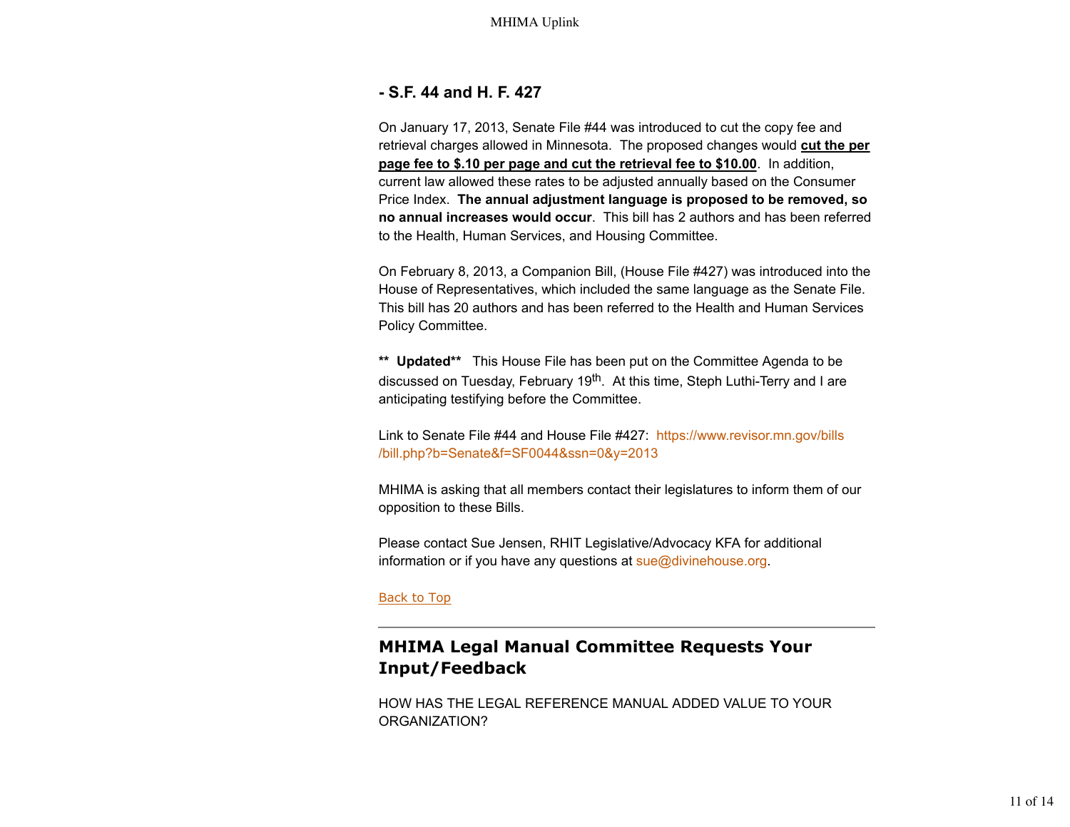### **- S.F. 44 and H. F. 427**

On January 17, 2013, Senate File #44 was introduced to cut the copy fee and retrieval charges allowed in Minnesota. The proposed changes would **cut the per page fee to \$.10 per page and cut the retrieval fee to \$10.00**. In addition, current law allowed these rates to be adjusted annually based on the Consumer Price Index. **The annual adjustment language is proposed to be removed, so no annual increases would occur**. This bill has 2 authors and has been referred to the Health, Human Services, and Housing Committee.

On February 8, 2013, a Companion Bill, (House File #427) was introduced into the House of Representatives, which included the same language as the Senate File. This bill has 20 authors and has been referred to the Health and Human Services Policy Committee.

**\*\* Updated\*\*** This House File has been put on the Committee Agenda to be discussed on Tuesday, February 19<sup>th</sup>. At this time, Steph Luthi-Terry and I are anticipating testifying before the Committee.

Link to Senate File #44 and House File #427: https://www.revisor.mn.gov/bills /bill.php?b=Senate&f=SF0044&ssn=0&y=2013

MHIMA is asking that all members contact their legislatures to inform them of our opposition to these Bills.

Please contact Sue Jensen, RHIT Legislative/Advocacy KFA for additional information or if you have any questions at sue@divinehouse.org.

Back to Top

# **MHIMA Legal Manual Committee Requests Your Input/Feedback**

HOW HAS THE LEGAL REFERENCE MANUAL ADDED VALUE TO YOUR ORGANIZATION?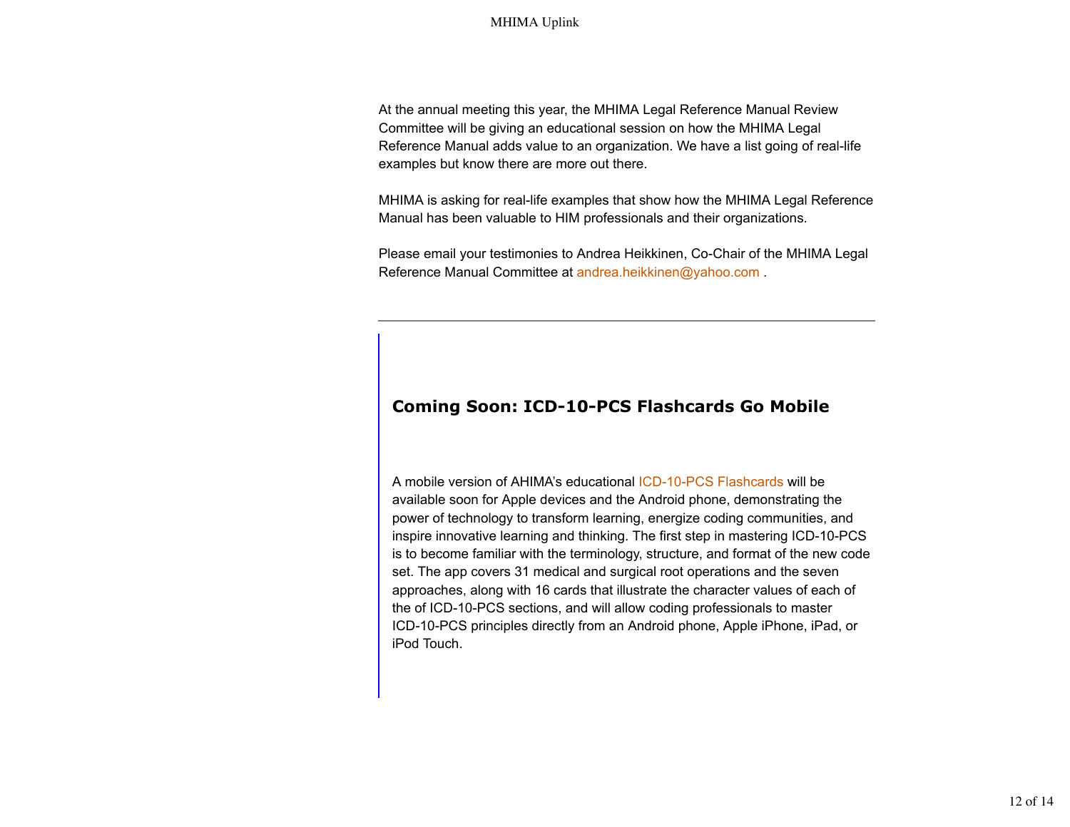At the annual meeting this year, the MHIMA Legal Reference Manual Review Committee will be giving an educational session on how the MHIMA Legal Reference Manual adds value to an organization. We have a list going of real-life examples but know there are more out there.

MHIMA is asking for real-life examples that show how the MHIMA Legal Reference Manual has been valuable to HIM professionals and their organizations.

Please email your testimonies to Andrea Heikkinen, Co-Chair of the MHIMA Legal Reference Manual Committee at andrea.heikkinen@yahoo.com .

## **Coming Soon: ICD-10-PCS Flashcards Go Mobile**

A mobile version of AHIMA's educational ICD-10-PCS Flashcards will be available soon for Apple devices and the Android phone, demonstrating the power of technology to transform learning, energize coding communities, and inspire innovative learning and thinking. The first step in mastering ICD-10-PCS is to become familiar with the terminology, structure, and format of the new code set. The app covers 31 medical and surgical root operations and the seven approaches, along with 16 cards that illustrate the character values of each of the of ICD-10-PCS sections, and will allow coding professionals to master ICD-10-PCS principles directly from an Android phone, Apple iPhone, iPad, or iPod Touch.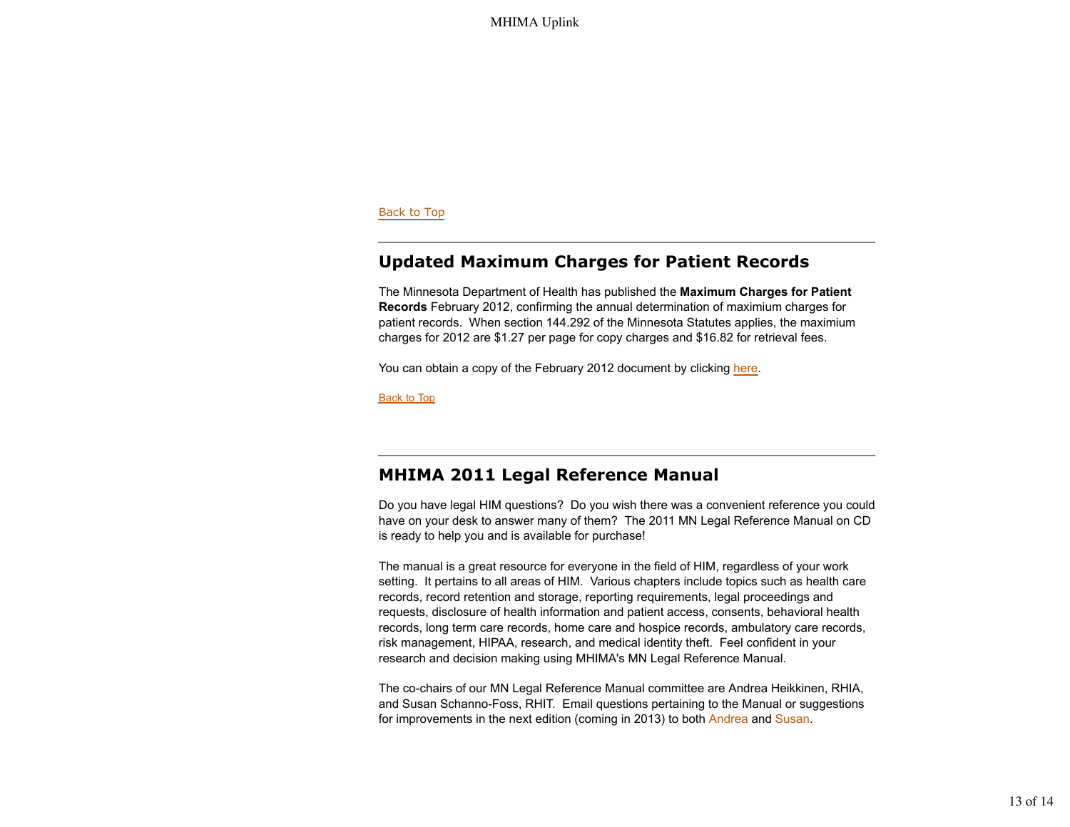#### Back to Top

# **Updated Maximum Charges for Patient Records**

The Minnesota Department of Health has published the **Maximum Charges for Patient Records** February 2012, confirming the annual determination of maximium charges for patient records. When section 144.292 of the Minnesota Statutes applies, the maximium charges for 2012 are \$1.27 per page for copy charges and \$16.82 for retrieval fees.

You can obtain a copy of the February 2012 document by clicking here.

Back to Top

## **MHIMA 2011 Legal Reference Manual**

Do you have legal HIM questions? Do you wish there was a convenient reference you could have on your desk to answer many of them? The 2011 MN Legal Reference Manual on CD is ready to help you and is available for purchase!

The manual is a great resource for everyone in the field of HIM, regardless of your work setting. It pertains to all areas of HIM. Various chapters include topics such as health care records, record retention and storage, reporting requirements, legal proceedings and requests, disclosure of health information and patient access, consents, behavioral health records, long term care records, home care and hospice records, ambulatory care records, risk management, HIPAA, research, and medical identity theft. Feel confident in your research and decision making using MHIMA's MN Legal Reference Manual.

The co-chairs of our MN Legal Reference Manual committee are Andrea Heikkinen, RHIA, and Susan Schanno-Foss, RHIT. Email questions pertaining to the Manual or suggestions for improvements in the next edition (coming in 2013) to both Andrea and Susan.